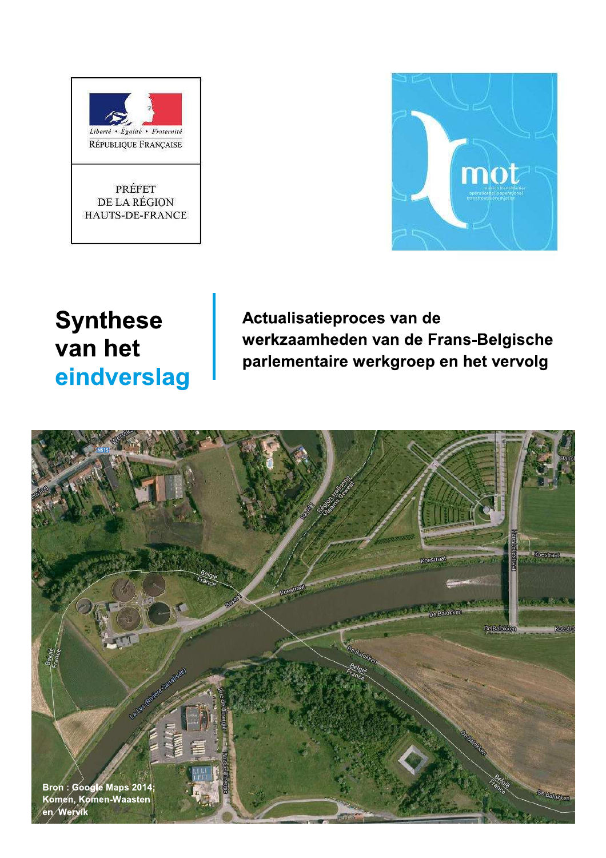



# **Synthese** van het eindverslag

Actualisatieproces van de werkzaamheden van de Frans-Belgische parlementaire werkgroep en het vervolg

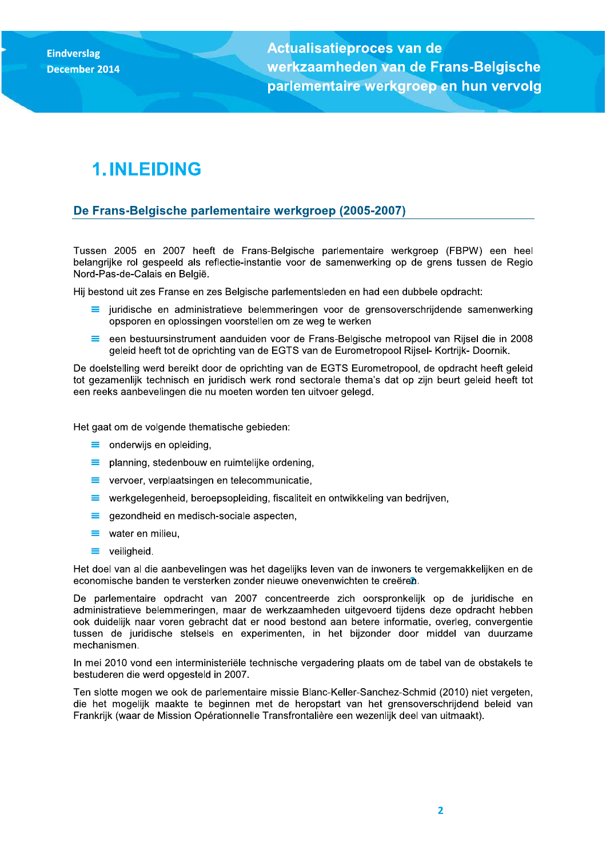Actualisatieproces van de werkzaamneden van de Frans-Belgiscne parlementaire werkgroep Eindverslag<br>December 2014<br>December 2014<br>T. INLEIDING<br>T. INLEIDING

## 1. INLEIDING

### <u>De Frans-Belgische parlementaire werkgroep (2005-2007)</u>

Tussen 2005 en 2007 heeft de Frans-Belgische parlementaire werkgroep (FBPW) een heel belangrijke rol gespeeld als reflectie-instantie voor de samenwerking op de grens tussen de Regio Nord-Pas-de-Calais en België.

Hij bestond uit zes Franse en zes Belgische parlementsleden en had een dubbele opdracht:

- $\equiv$  juridische en administratieve belemmeringen voor de grensoverschrijdende samenwerking opsporen en oplossingen voorstellen om ze weg te werken
- $=$ een bestuursinstrument aanduiden voor de Frans-Belgische metropool van Rijsel die in 2008 geleid heeft tot de oprichting van de EGTS van de Eurometropool Rijsel- Kortrijk- Doornik.

De doelstelling werd bereikt door de oprichting van de EGTS Eurometropool, de opdracht heeft geleid tot gezamenlijk technisch en juridisch werk rond sectorale thema's dat op zijn beurt geleid heeft tot een reeks aanbevelingen die nu moeten worden ten uitvoer gelegd.

Het gaat om de volgende thematische gebieden:

- $\equiv$  onderwijs en opleiding,
- $\equiv$  planning, stedenbouw en ruimtelijke ordening,
- $\equiv$  vervoer, verplaatsingen en telecommunicatie,
- $\equiv$  werkgelegenheid, beroepsopleiding, fiscaliteit en ontwikkeling van bedriiven.
- $\equiv$ gezondheid en medisch-sociale aspecten,
- $\equiv$  water en milieu,
- $\equiv$  veiligheid.

economische banden te versterken zonder nieuwe onevenwichten te creeren. Het doel van al die aanbevelingen was het dagelijks leven van de inwoners te vergemakkelijken en de

De parlementaire opdracht van 2007 concentreerde zich oorspronkelijk op de juridische en administratieve belemmeringen, maar de werkzaamheden uitgevoerd tijdens deze opdracht hebben ook duidelijk naar voren gebracht dat er nood bestond aan betere informatie, overleg, convergentie tussen de juridische stelsels en experimenten, in het bijzonder door middel van duurzame mechanismen.

In mei 2010 vond een interministeriële technische vergadering plaats om de tabel van de obstakels te bestuderen die werd opgesteld in 2007.

Ten slotte mogen we ook de parlementaire missie Blanc-Keller-Sanchez-Schmid (2010) niet vergeten. die het mogelijk maakte te beginnen met de heropstart van het grensoverschrijdend beleid van Frankrijk (waar de Mission Opérationnelle Transfrontalière een wezenlijk deel van uitmaakt).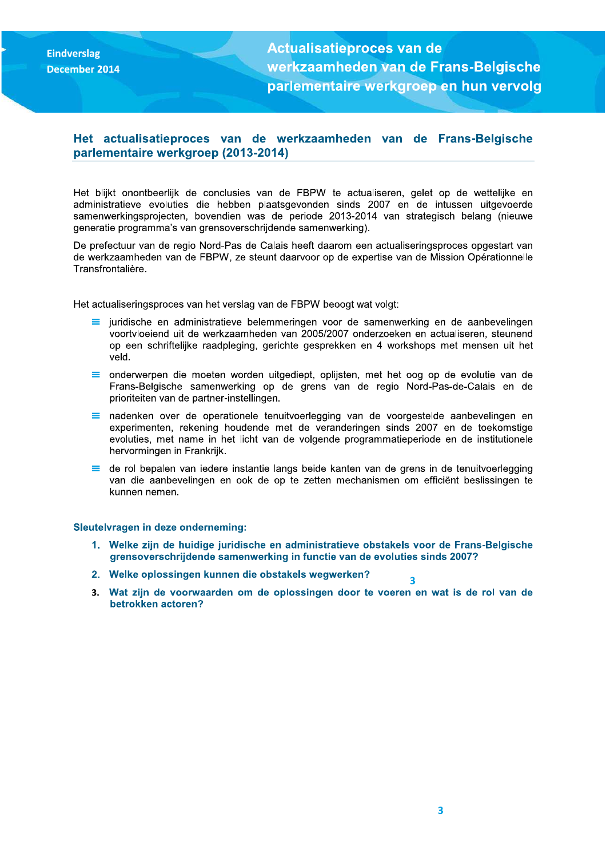**Eindverslag December 2014**  **Actualisatieproces van de** werkzaamheden van de Frans-Belgische parlementaire werkgroep en hun vervolg

### Het actualisatieproces van de werkzaamheden van de Frans-Belgische parlementaire werkgroep (2013-2014)

Het blijkt onontbeerlijk de conclusies van de FBPW te actualiseren, gelet op de wettelijke en administratieve evoluties die hebben plaatsgevonden sinds 2007 en de intussen uitgevoerde samenwerkingsprojecten, bovendien was de periode 2013-2014 van strategisch belang (nieuwe generatie programma's van grensoverschrijdende samenwerking).

De prefectuur van de regio Nord-Pas de Calais heeft daarom een actualiseringsproces opgestart van de werkzaamheden van de FBPW, ze steunt daarvoor op de expertise van de Mission Opérationnelle Transfrontalière.

Het actualiseringsproces van het verslag van de FBPW beoogt wat volgt:

- $\equiv$  juridische en administratieve belemmeringen voor de samenwerking en de aanbevelingen voortvloeiend uit de werkzaamheden van 2005/2007 onderzoeken en actualiseren, steunend op een schriftelijke raadpleging, gerichte gesprekken en 4 workshops met mensen uit het veld.
- $\equiv$  onderwerpen die moeten worden uitgediept, oplijsten, met het oog op de evolutie van de Frans-Belgische samenwerking op de grens van de regio Nord-Pas-de-Calais en de prioriteiten van de partner-instellingen.
- = nadenken over de operationele tenuitvoerlegging van de voorgestelde aanbevelingen en experimenten, rekening houdende met de veranderingen sinds 2007 en de toekomstige evoluties, met name in het licht van de volgende programmatieperiode en de institutionele hervormingen in Frankrijk.
- de rol bepalen van iedere instantie langs beide kanten van de grens in de tenuitvoerlegging Ξ van die aanbevelingen en ook de op te zetten mechanismen om efficiënt beslissingen te kunnen nemen.

#### Sleutelvragen in deze onderneming:

- 1. Welke zijn de huidige juridische en administratieve obstakels voor de Frans-Belgische grensoverschrijdende samenwerking in functie van de evoluties sinds 2007?
- 2. Welke oplossingen kunnen die obstakels wegwerken?
- 3. Wat zijn de voorwaarden om de oplossingen door te voeren en wat is de rol van de betrokken actoren?

 $\overline{\mathbf{3}}$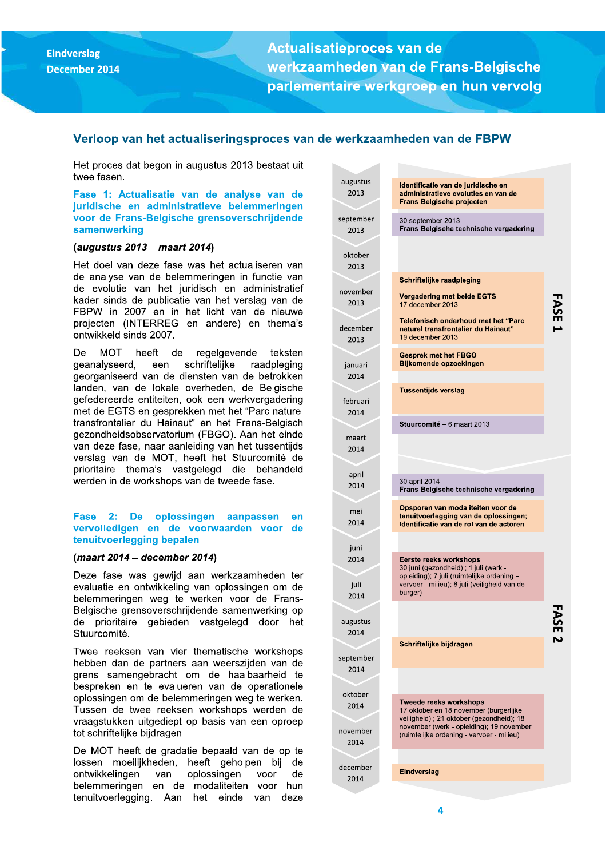**Actualisatieproces van de** werkzaamheden van de Frans-Belgische parlementaire werkgroep en hun vervolg

#### Verloop van het actualiseringsproces van de werkzaamheden van de FBPW

Het proces dat begon in augustus 2013 bestaat uit twee fasen.

Fase 1: Actualisatie van de analyse van de juridische en administratieve belemmeringen voor de Frans-Belgische grensoverschrijdende samenwerking

#### (augustus 2013 – maart 2014)

Het doel van deze fase was het actualiseren van de analyse van de belemmeringen in functie van de evolutie van het juridisch en administratief kader sinds de publicatie van het verslag van de FBPW in 2007 en in het licht van de nieuwe projecten (INTERREG en andere) en thema's ontwikkeld sinds 2007.

De MOT heeft de regelgevende teksten een geanalyseerd. schriftelijke raadpleging georganiseerd van de diensten van de betrokken landen, van de lokale overheden, de Belgische gefedereerde entiteiten, ook een werkvergadering met de EGTS en gesprekken met het "Parc naturel transfrontalier du Hainaut" en het Frans-Belgisch gezondheidsobservatorium (FBGO). Aan het einde van deze fase, naar aanleiding van het tussentiids verslag van de MOT, heeft het Stuurcomité de prioritaire thema's vastgelegd die behandeld werden in de workshops van de tweede fase.

#### **Fase** 2: De oplossingen aanpassen en vervolledigen en de voorwaarden voor de tenuitvoerlegging bepalen

#### (maart 2014 - december 2014)

Deze fase was gewijd aan werkzaamheden ter evaluatie en ontwikkeling van oplossingen om de belemmeringen weg te werken voor de Frans-Belgische grensoverschrijdende samenwerking op de prioritaire gebieden vastgelegd door het Stuurcomité.

Twee reeksen van vier thematische workshops hebben dan de partners aan weerszijden van de grens samengebracht om de haalbaarheid te bespreken en te evalueren van de operationele oplossingen om de belemmeringen weg te werken. Tussen de twee reeksen workshops werden de vraagstukken uitgediept op basis van een oproep tot schriftelijke bijdragen.

De MOT heeft de gradatie bepaald van de op te lossen moeilijkheden, heeft geholpen bij de ontwikkelingen oplossingen de van voor belemmeringen en de modaliteiten voor hun tenuitvoerlegging. Aan het einde van deze

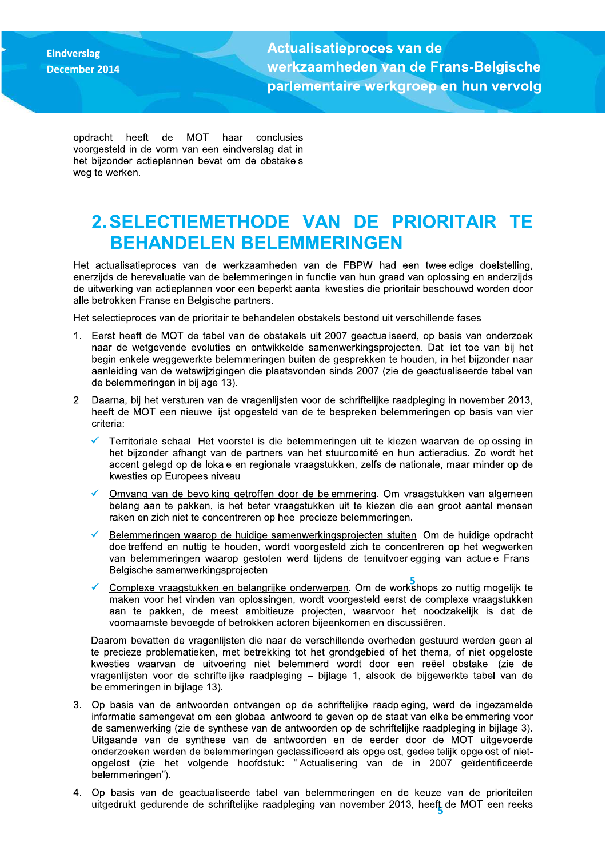**Eindverslag** 

Actualisatieproces van de werkzaamneden van de Frans-Belgiscne parlementaire werkgroep Eindverslag<br>
December 2014<br>
December 2014<br>
December 2014<br>
December 2014<br>
December 2014<br>
December 2014<br>
December 2014<br>
Operacht heeft de MOT haar conclusies<br>
Norgested in de vorm van een eindverslag dat in<br>
het bijzonder ac

opdracht heeft de MOT haar conclusies voorgesteld in de vorm van een eindverslag dat in het bijzonder actieplannen bevat om de obstakels weg te werken.

### 2. SELECTIEMETHODE VAN DE PRIORITAIR TE BEHANDELEN BELEMMERINGEN

Het actualisatieproces van de werkzaamheden van de FBPW had een tweeledige doelstelling, enerzijds de herevaluatie van de belemmeringen in functie van hun graad van oplossing en anderzijds de uitwerking van actieplannen voor een beperkt aantal kwesties die prioritair beschouwd worden door alle betrokken Franse en Belgische partners.

Het selectieproces van de prioritair te behandelen obstakels bestond uit verschillende fases.

- 1. Eerst heeft de MOT de tabel van de obstakels uit 2007 geactualiseerd, op basis van onderzoek naar de wetgevende evoluties en ontwikkelde samenwerkingsprojecten. Dat liet toe van bij het begin enkele weggewerkte belemmeringen buiten de gesprekken te houden, in het bijzonder naar aanleiding van de wetswijzigingen die plaatsvonden sinds 2007 (zie de geactualiseerde tabel van de belemmeringen in bijlage 13).
- 2. Daarna, bij het versturen van de vragenlijsten voor de schriftelijke raadpleging in november 2013. heeft de MOT een nieuwe lijst opgesteld van de te bespreken belemmeringen op basis van vier criteria:
	- $\checkmark$ Territoriale schaal. Het voorstel is die belemmeringen uit te kiezen waarvan de oplossing in het bijzonder afhangt van de partners van het stuurcomité en hun actieradius. Zo wordt het accent gelegd op de lokale en regionale vraagstukken, zelfs de nationale, maar minder op de kwesties op Europees niveau.
	- Omvang van de bevolking getroffen door de belemmering. Om vraagstukken van algemeen belang aan te pakken, is het beter vraagstukken uit te kiezen die een groot aantal mensen raken en zich niet te concentreren op heel precieze belemmeringen.
	- Belemmeringen waarop de huidige samenwerkingsprojecten stuiten. Om de huidige opdracht doeltreffend en nuttig te houden, wordt voorgesteld zich te concentreren op het wegwerken van belemmeringen waarop gestoten werd tijdens de tenuitvoerlegging van actuele Frans-Belgische samenwerkingsprojecten.
	- Complexe vraagstukken en belangrijke onderwerpen</u>. Om de workshops zo nuttig mogelijk te maken voor het vinden van oplossingen, wordt voorgesteld eerst de complexe vraagstukken aan te pakken, de meest ambitieuze projecten, waarvoor het noodzakelijk is dat de voornaamste bevoegde of betrokken actoren bijeenkomen en discussiëren.

Daarom bevatten de vragenlijsten die naar de verschillende overheden gestuurd werden geen al te precieze problematieken, met betrekking tot het grondgebied of het thema, of niet opgeloste kwesties waarvan de uitvoering niet belemmerd wordt door een reëel obstakel (zie de vragenlijsten voor de schriftelijke raadpleging – bijlage 1, alsook de bijgewerkte tabel van de belemmeringen in bijlage 13).

- 3. Op basis van de antwoorden ontvangen op de schriftelijke raadpleging, werd de ingezamelde informatie samengevat om een globaal antwoord te geven op de staat van elke belemmering voor de samenwerking (zie de synthese van de antwoorden op de schriftelijke raadpleging in bijlage 3). Uitgaande van de synthese van de antwoorden en de eerder door de MOT uitgevoerde onderzoeken werden de belemmeringen geclassificeerd als opgelost, gedeeltelijk opgelost of nietopgelost (zie het volgende hoofdstuk: "Actualisering van de in 2007 geïdentificeerde belemmeringen").
- uitgedrukt gedurende de schriftelijke raadpleging van november 2013, heeft de MOT een reeks 4. Op basis van de geactualiseerde tabel van belemmeringen en de keuze van de prioriteiten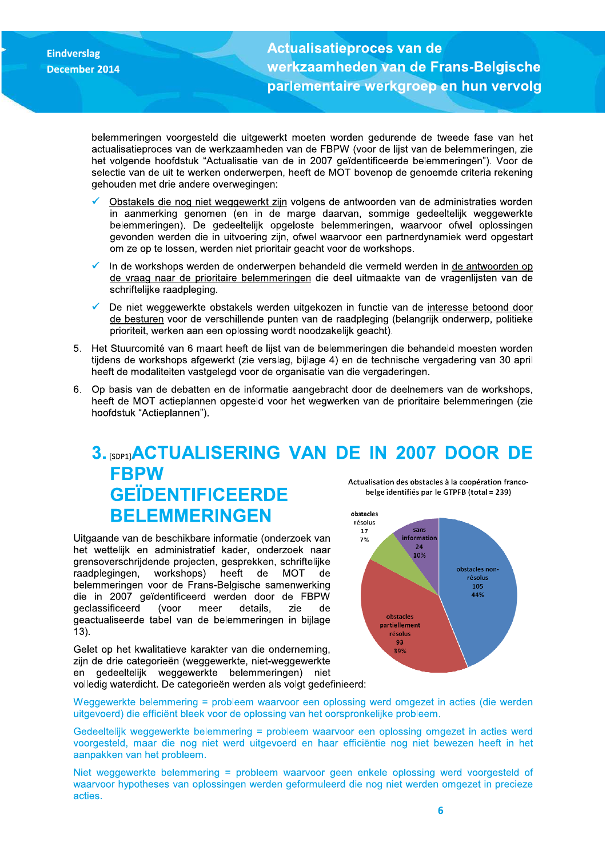**Actualisatieproces van de** werkzaamheden van de Frans-Belgische parlementaire werkgroep en hun vervolg

belemmeringen voorgesteld die uitgewerkt moeten worden gedurende de tweede fase van het actualisatieproces van de werkzaamheden van de FBPW (voor de lijst van de belemmeringen, zie het volgende hoofdstuk "Actualisatie van de in 2007 geïdentificeerde belemmeringen"). Voor de selectie van de uit te werken onderwerpen, heeft de MOT bovenop de genoemde criteria rekening gehouden met drie andere overwegingen:

- Obstakels die nog niet weggewerkt zijn volgens de antwoorden van de administraties worden in aanmerking genomen (en in de marge daarvan, sommige gedeeltelijk weggewerkte belemmeringen). De gedeeltelijk opgeloste belemmeringen, waarvoor ofwel oplossingen gevonden werden die in uitvoering zijn, ofwel waarvoor een partnerdynamiek werd opgestart om ze op te lossen, werden niet prioritair geacht voor de workshops.
- In de workshops werden de onderwerpen behandeld die vermeld werden in de antwoorden op de vraag naar de prioritaire belemmeringen die deel uitmaakte van de vragenlijsten van de schriftelijke raadpleging.
- De niet weggewerkte obstakels werden uitgekozen in functie van de interesse betoond door de besturen voor de verschillende punten van de raadpleging (belangrijk onderwerp, politieke prioriteit, werken aan een oplossing wordt noodzakelijk geacht).
- 5. Het Stuurcomité van 6 maart heeft de lijst van de belemmeringen die behandeld moesten worden tijdens de workshops afgewerkt (zie verslag, bijlage 4) en de technische vergadering van 30 april heeft de modaliteiten vastgelegd voor de organisatie van die vergaderingen.
- $6.$ Op basis van de debatten en de informatie aangebracht door de deelnemers van de workshops. heeft de MOT actieplannen opgesteld voor het wegwerken van de prioritaire belemmeringen (zie hoofdstuk "Actieplannen").

#### 3. [SDP1] ACTUALISERING VAN DE IN 2007 DOOR DE **FBPW** Actualisation des obstacles à la coopération franco-**GEÏDENTIFICEERDE** belge identifiés par le GTPFB (total = 239) **BELEMMERINGEN** obstacles résolus

Uitgaande van de beschikbare informatie (onderzoek van het wettelijk en administratief kader, onderzoek naar grensoverschrijdende projecten, gesprekken, schriftelijke raadplegingen, workshops) heeft de **MOT** de belemmeringen voor de Frans-Belgische samenwerking die in 2007 geïdentificeerd werden door de FBPW geclassificeerd (voor meer details, zie de geactualiseerde tabel van de belemmeringen in bijlage  $13$ ).

Gelet op het kwalitatieve karakter van die onderneming, zijn de drie categorieën (weggewerkte, niet-weggewerkte en gedeeltelijk weggewerkte belemmeringen) niet volledig waterdicht. De categorieën werden als volgt gedefinieerd:



Weggewerkte belemmering = probleem waarvoor een oplossing werd omgezet in acties (die werden uitgevoerd) die efficiënt bleek voor de oplossing van het oorspronkelijke probleem.

Gedeeltelijk weggewerkte belemmering = probleem waarvoor een oplossing omgezet in acties werd voorgesteld, maar die nog niet werd uitgevoerd en haar efficiëntie nog niet bewezen heeft in het aanpakken van het probleem.

Niet weggewerkte belemmering = probleem waarvoor geen enkele oplossing werd voorgesteld of waarvoor hypotheses van oplossingen werden geformuleerd die nog niet werden omgezet in precieze acties.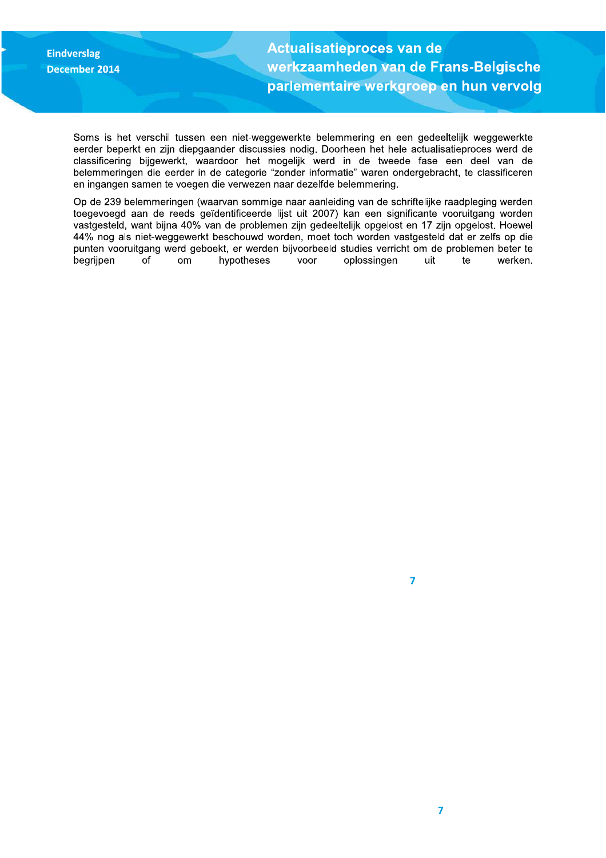Actualisatieproces van de werkzaamheden van de Frans-Belgische parlementaire werkgroep

Eindverslag<br>
December 2014<br>
Werkzaamheden van de Frans-Belgische<br>
parlementaire werkgroep en hun vervolg<br>
Soms is het verschil tussen een niet-weggewerkte belemmering en een gedeeltelijk weggewerkte<br>
erder begraamheden van Soms is het verschil tussen een niet-weggewerkte belemmering en een gedeeltelijk weggewerkte eerder beperkt en zijn diepgaander discussies nodig. Doorheen het hele actualisatieproces werd de classificering bijgewerkt, waardoor het mogelijk werd in de tweede fase een deel van de belemmeringen die eerder in de categorie "zonder informatie" waren ondergebracht, te classificeren en ingangen samen te voegen die verwezen naar dezelfde belemmering.

> Op de 239 belemmeringen (waarvan sommige naar aanleiding van de schriftelijke raadpleging werden toegevoegd aan de reeds geïdentificeerde lijst uit 2007) kan een significante vooruitgang worden vastgesteld, want bijna 40% van de problemen zijn gedeeltelijk opgelost en 17 zijn opgelost. Hoewel 44% nog als niet-weggewerkt beschouwd worden, moet toch worden vastgesteld dat er zelfs op die punten vooruitgang werd geboekt, er werden bijvoorbeeld studies verricht om de problemen beter te  $\frac{1}{2}$  beariipen of om hypotheses voor oplossingen uit te werken.

.%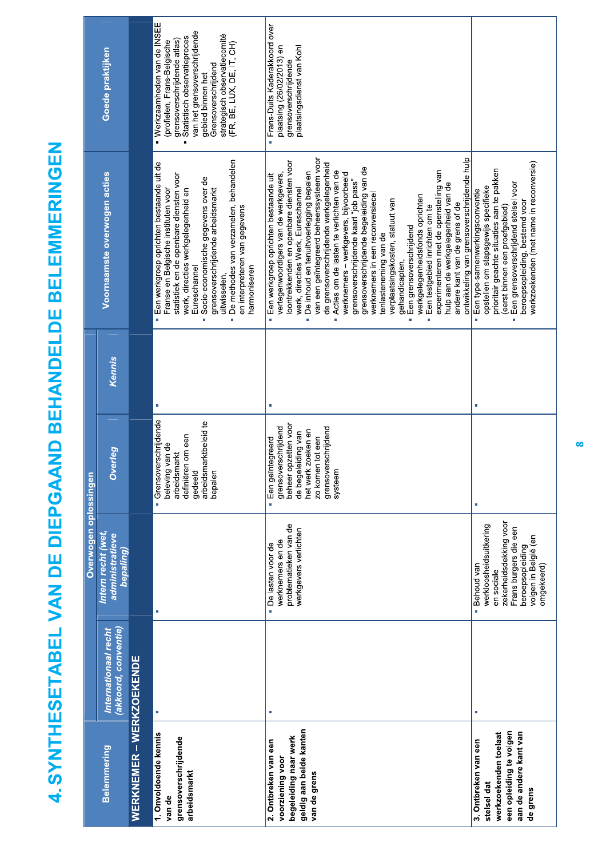4. SYNTHESETABEL VAN DE DIEPGAAND BEHANDELDE BELEMMERINGEN

|                                                                                                                               |                                             | Overwogen oplossingen                                                                                                                                             |                                                                                                                                                                             |        |                                                                                                                                                                                                                                                                                                                                                                                                                                                                                                                                                                                                                                                                                                                                                                                                                                                                          |                                                                                                                                                                                                                                                                     |
|-------------------------------------------------------------------------------------------------------------------------------|---------------------------------------------|-------------------------------------------------------------------------------------------------------------------------------------------------------------------|-----------------------------------------------------------------------------------------------------------------------------------------------------------------------------|--------|--------------------------------------------------------------------------------------------------------------------------------------------------------------------------------------------------------------------------------------------------------------------------------------------------------------------------------------------------------------------------------------------------------------------------------------------------------------------------------------------------------------------------------------------------------------------------------------------------------------------------------------------------------------------------------------------------------------------------------------------------------------------------------------------------------------------------------------------------------------------------|---------------------------------------------------------------------------------------------------------------------------------------------------------------------------------------------------------------------------------------------------------------------|
| <b>Belemmering</b>                                                                                                            | akkoord, conventie)<br>Internationaal recht | Intern recht (wet,<br>administratieve<br>bepaling)                                                                                                                | Overleg                                                                                                                                                                     | Kennis | Voornaamste overwogen acties                                                                                                                                                                                                                                                                                                                                                                                                                                                                                                                                                                                                                                                                                                                                                                                                                                             | Goede praktijken                                                                                                                                                                                                                                                    |
| WERKNEMER – WERKZOEKENDE                                                                                                      |                                             |                                                                                                                                                                   |                                                                                                                                                                             |        |                                                                                                                                                                                                                                                                                                                                                                                                                                                                                                                                                                                                                                                                                                                                                                                                                                                                          |                                                                                                                                                                                                                                                                     |
| 1. Onvoldoende kennis<br>grensoverschrijdende<br>arbeidsmarkt<br>van de                                                       |                                             | J.                                                                                                                                                                | Grensoverschrijdende<br>arbeidsmarktbeleid te<br>definiëren om een<br>beleving van de<br>arbeidsmarkt<br>gedeeld<br>bepaler                                                 | a,     | De methodes van verzamelen, behandelen<br>Een werkgroep oprichten bestaande uit de<br>statistiek en de openbare diensten voor<br>Socio-economische gegevens over de<br>grensoverschrijdende arbeidsmarkt<br>werk, directies werkgelegenheid en<br>Franse en Belgische instituten voor<br>en interpreteren van gegevens<br>Eureschannel<br>harmoniseren<br>uitwisselen,<br>i.                                                                                                                                                                                                                                                                                                                                                                                                                                                                                             | · Werkzaamheden van de INSEE<br>van het grensoverschrijdende<br>strategisch observatiecomité<br>Statistisch observatieproces<br>grensoverschrijdende atlas)<br>(profielen, Frans-Belgische<br>(FR, BE, LUX, DE, IT, CH)<br>Grensoverschrijdend<br>gebied binnen het |
| geldig aan beide kanten<br>begeleiding naar werk<br>2. Ontbreken van een<br>voorziening voor<br>van de grens                  | ×                                           | problematieken van de<br>werkgevers verlichten<br>werknemers en de<br>· De lasten voor de                                                                         | beheer opzetten voor<br>grensoverschrijdend<br>grensoverschrijdend<br>het werk zoeken en<br>de begeleiding van<br>zo komen tot een<br>integreerd<br>systeem<br>Een geï<br>ä |        | ontwikkeling van grensoverschrijdende hulp<br>van een geïntegreerd beheerssysteem voor<br>loontrekkenden en openbare diensten voor<br>de grensoverschrijdende werkgelegenheid<br>grensoverschrijdende begeleiding van de<br>experimenteren met de openstelling van<br>Acties om de lasten te verlichten van de<br>De inhoud en tenuitvoerlegging bepalen<br>werknemers - werkgevers, bijvoorbeeld<br>vertegenwoordigers van de werkgevers,<br>Een werkgroep oprichten bestaande uit<br>grensoverschrijdende kaart "job pass"<br>hulp aan de werkgelegenheid van de<br>werk, directies Werk, Eureschannel<br>werknemers in een reconversiecel<br>werkgelegenheidsfonds oprichten<br>verplaatsingskosten, statuut van<br>andere kant van de grens of de<br>Een testgebied inrichten om te<br>Een grensoverschrijdend<br>tenlasteneming van de<br>gehandicapten,<br>ö<br>i. | Frans-Duits Kaderakkoord over<br>plaatsing (26/02/2013) en<br>plaatsingsdienst van Kohl<br>grensoverschrijdende<br>ä                                                                                                                                                |
| een opleiding te volgen<br>aan de andere kant van<br>werkzoekenden toelaat<br>3. Ontbreken van een<br>stelsel dat<br>de grens |                                             | zekerheidsdekking voor<br>werkloosheidsuitkering<br>Frans burgers die een<br>volgen in België (en<br>beroepsopleiding<br>omgekeerd)<br>- Behoud van<br>en sociale |                                                                                                                                                                             |        | werkzoekenden (met name in reconversie)<br>prioritair geachte situaties aan te pakken<br>Een grensoverschrijdend stelsel voor<br>opstellen om stapsgewijs specifieke<br>Een type-samenwerkingsconventie<br>beroepsopleiding, bestemd voor<br>(eerst binnen een proefgebied)<br>à,<br>i,                                                                                                                                                                                                                                                                                                                                                                                                                                                                                                                                                                                  |                                                                                                                                                                                                                                                                     |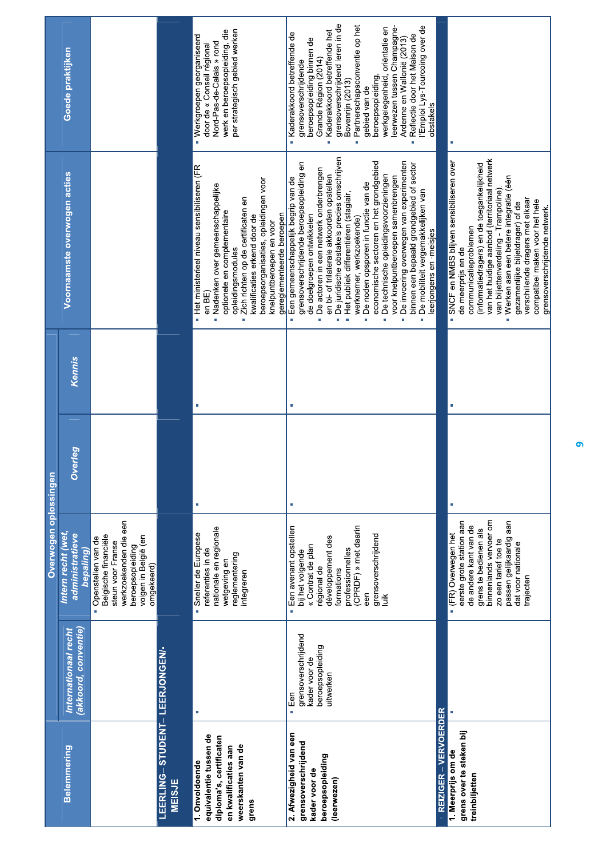|                                                                                                                            |                                                                              | Overwogen opiossingen                                                                                                                                                                                              |                    |        |                                                                                                                                                                                                                                                                                                                                                                                                                                                                                                                                                                                                                                                              |                                                                                                                                                                                                                                                                                                                                                                                                                                                       |
|----------------------------------------------------------------------------------------------------------------------------|------------------------------------------------------------------------------|--------------------------------------------------------------------------------------------------------------------------------------------------------------------------------------------------------------------|--------------------|--------|--------------------------------------------------------------------------------------------------------------------------------------------------------------------------------------------------------------------------------------------------------------------------------------------------------------------------------------------------------------------------------------------------------------------------------------------------------------------------------------------------------------------------------------------------------------------------------------------------------------------------------------------------------------|-------------------------------------------------------------------------------------------------------------------------------------------------------------------------------------------------------------------------------------------------------------------------------------------------------------------------------------------------------------------------------------------------------------------------------------------------------|
| <b>Belemmering</b>                                                                                                         | (akkoord, conventie)<br>Internationaal recht                                 | Intern recht (wet,<br>administratieve<br>bepaling)                                                                                                                                                                 | erleg<br>$\vec{o}$ | Kennis | Voornaamste overwogen acties                                                                                                                                                                                                                                                                                                                                                                                                                                                                                                                                                                                                                                 | Goede praktijken                                                                                                                                                                                                                                                                                                                                                                                                                                      |
|                                                                                                                            |                                                                              | werkzoekenden die een<br>Belgische financiële<br>beroepsopleiding<br>volgen in België (en<br>Openstellen van de<br>steun voor Franse<br>omgekeerd)<br>à.                                                           |                    |        |                                                                                                                                                                                                                                                                                                                                                                                                                                                                                                                                                                                                                                                              |                                                                                                                                                                                                                                                                                                                                                                                                                                                       |
| LEERLING-STUDENT-LEERJONGEN/-<br><b>MEISJE</b>                                                                             |                                                                              |                                                                                                                                                                                                                    |                    |        |                                                                                                                                                                                                                                                                                                                                                                                                                                                                                                                                                                                                                                                              |                                                                                                                                                                                                                                                                                                                                                                                                                                                       |
| equivalentie tussen de<br>diploma's, certificaten<br>weerskanten van de<br>en kwalificaties aan<br>1. Onvoldoende<br>grens |                                                                              | nationale en regionale<br>Sneller de Europese<br>referenties in de<br>reglementering<br>wetgeving en<br>integreren                                                                                                 | ×                  |        | • Het ministerieel niveau sensibiliseren (FR<br>beroepsorganisaties, opleidingen voor<br>Nadenken over gemeenschappelijke<br>Zich richten op de certificaten en<br>optionele en complementaire<br>gereglementeerde beroepen<br>kwalificaties erkend door de<br>knelpuntberoepen en voor<br>opleidingsmodules<br>en BE<br>ú.<br>ò                                                                                                                                                                                                                                                                                                                             | per strategisch gebied werken<br>werk en beroepsopleiding, die<br>Werkgroepen georganiseerd<br>Nord-Pas-de-Calais » rond<br>door de « Conseil régional                                                                                                                                                                                                                                                                                                |
| 2. Afwezigheid van een<br>grensoverschrijdend<br>beroepsopleiding<br>kader voor de<br>(leerwezen)                          | grensoverschrijdend<br>beroepsopleiding<br>kader voor de<br>uitwerken<br>Een | (CPRDF) » met daarin<br>Een avenant opstellen<br>grensoverschrijdend<br>luik<br>développement des<br>« Contrat de plan<br>professionnelles<br>bij het volgende<br>régional de<br>formations<br>een<br>ii.          |                    |        | De juridische obstakels precies omschrijven<br>economische sectoren en het grondgebied<br>De invoering overwegen van experimenten<br>grensoverschrijdende beroepsopleiding en<br>binnen een bepaald grondgebied of sector<br>De actoren in een netwerk onderbrengen<br>en bi- of trilaterale akkoorden opstellen<br>De technische opleidingsvoorzieningen<br>voor knelpuntberoepen samenbrengen<br>Een gemeenschappelijk begrip van de<br>De noden opsporen in functie van de<br>De mobiliteit vergemakkelijken van<br>Het publiek differentiëren (stagiair,<br>de doelgroepen ontwikkelen<br>werknemer, werkzoekende)<br>leerjongens en -meisjes<br>i.<br>m | grensoverschrijdend leren in de<br>Bovenrijn (2013)<br>Partnerschapsconventie op het<br>l'Emploi Lys-Tourcoing over de<br>werkgelegenheid, oriëntatie en<br>leerwezen tussen Champagne-<br>Kaderakkoord betreffende het<br>Kaderakkoord betreffende de<br>Reflectie door het Maison de<br>Ardenne en Wallonië (2013)<br>beroepsopleiding binnen de<br>Grande Région (2014)<br>grensoverschrijdende<br>beroepsopleiding,<br>gebied van de<br>obstakels |
| REIZIGER - VERVOERDER                                                                                                      |                                                                              |                                                                                                                                                                                                                    |                    |        |                                                                                                                                                                                                                                                                                                                                                                                                                                                                                                                                                                                                                                                              |                                                                                                                                                                                                                                                                                                                                                                                                                                                       |
| grens over te steken bij<br>1. Meerprijs om de<br>treinbiljetten                                                           |                                                                              | binnenlands vervoer om<br>passen gelijkaardig aan<br>eerste grote station aan<br>de andere kant van de<br>grens te bedienen als<br>· (FR) Overwegen het<br>zo een tarief toe te<br>dat voor nationale<br>trajecten |                    |        | van het huidige aanbod (territoriaal netwerk<br>· SNCF en NMBS blijven sensibiliseren over<br>(informatiedragers) en de toegankelijkheid<br>Werken aan een betere integratie (één<br>van biljettenverdeling - Trampoline)<br>verschillende dragers met elkaar<br>compatibel maken voor het hele<br>gezamenlijke biljetdrager) of de<br>grensoverschrijdende netwerk.<br>communicatieproblemen<br>de meerprijs en de                                                                                                                                                                                                                                          |                                                                                                                                                                                                                                                                                                                                                                                                                                                       |

 $\sigma$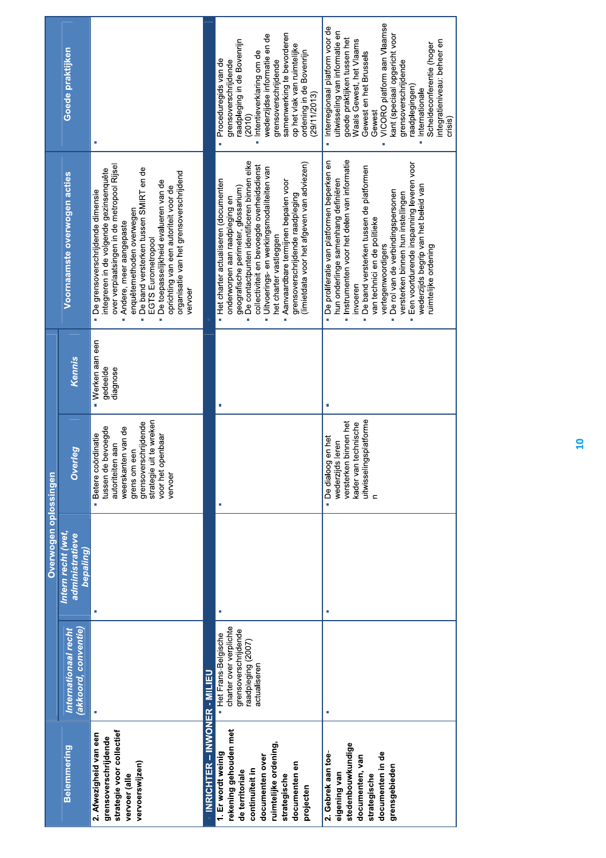|                                                                                                                                                                             |                                                                                                              | Overwogen oplossingen        |                                                                                                                                                                                         |                                          |                                                                                                                                                                                                                                                                                                                                                                                                                                               |                                                                                                                                                                                                                                                                                                                                                                       |
|-----------------------------------------------------------------------------------------------------------------------------------------------------------------------------|--------------------------------------------------------------------------------------------------------------|------------------------------|-----------------------------------------------------------------------------------------------------------------------------------------------------------------------------------------|------------------------------------------|-----------------------------------------------------------------------------------------------------------------------------------------------------------------------------------------------------------------------------------------------------------------------------------------------------------------------------------------------------------------------------------------------------------------------------------------------|-----------------------------------------------------------------------------------------------------------------------------------------------------------------------------------------------------------------------------------------------------------------------------------------------------------------------------------------------------------------------|
| <b>Belemmering</b>                                                                                                                                                          | Internationaal recht                                                                                         | Intern recht (wet,           |                                                                                                                                                                                         |                                          | Voornaamste overwogen acties                                                                                                                                                                                                                                                                                                                                                                                                                  | Goede praktijken                                                                                                                                                                                                                                                                                                                                                      |
|                                                                                                                                                                             | (akkoord, conventie)                                                                                         | administratieve<br>bepaling) | Overleg                                                                                                                                                                                 | Kennis                                   |                                                                                                                                                                                                                                                                                                                                                                                                                                               |                                                                                                                                                                                                                                                                                                                                                                       |
| strategie voor collectief<br>2. Afwezigheid van een<br>grensoverschrijdende<br>vervoerswijzen)<br>vervoer (alle                                                             | Ì,                                                                                                           | Ì.                           | strategie uit te wreken<br>grensoverschrijdende<br>tussen de bevoegde<br>weerskanten van de<br>· Betere coördinatie<br>voor het openbaar<br>autoriteiten aan<br>grens om een<br>vervoer | · Werken aan een<br>gedeelde<br>diagnose | over verplaatsingen in de metropool Rijsel<br>De band versterken tussen SMIRT en de<br>integreren in de volgende gezinsenquête<br>organisatie van het grensoverschrijdend<br>· De toepasselijkheid evalueren van de<br>oprichting van een autoriteit voor de<br>· De grensoverschrijdende dimensie<br>enquêtemethoden overwegen<br>Andere, meer aangepaste<br>EGTS Eurometropool<br>vervoer<br>ı                                              |                                                                                                                                                                                                                                                                                                                                                                       |
| INRICHTER – INWONER - MILIEU                                                                                                                                                |                                                                                                              |                              |                                                                                                                                                                                         |                                          |                                                                                                                                                                                                                                                                                                                                                                                                                                               |                                                                                                                                                                                                                                                                                                                                                                       |
| rekening gehouden met<br>ruimtelijke ordening,<br>1. Er wordt weinig<br>documenten over<br>documenten en<br>continuïteit in<br>de territoriale<br>strategische<br>projecten | charter over verplichte<br>grensoverschrijdende<br>Het Frans-Belgische<br>raadpleging (2007)<br>actualiseren |                              |                                                                                                                                                                                         |                                          | De contactpunten identificeren binnen elke<br>(limietdata voor het afgeven van adviezen)<br>collectiviteit en bevoegde overheidsdienst<br>Uitvoerings- en werkingsmodaliteiten van<br>· Het charter actualiseren (documenten<br>Aanvaardbare termijnen bepalen voor<br>geografische perimeter, glossarium)<br>grensoverschrijdende raadpleging<br>onderworpen aan raadpleging en<br>het charter vastleggen<br>i.                              | samenwerking te bevorderen<br>wederzijdse informatie en de<br>raadpleging in de Bovenrijn<br>op het vlak van ruimtelijke<br>ordening in de Bovenrijn<br>· Intentieverklaring om de<br>Proceduregids van de<br>grensoverschrijdende<br>grensoverschrijdende<br>(29/11/2013)<br>(2010)                                                                                  |
| stedenbouwkundige<br>documenten in de<br>2. Gebrek aan toe-<br>documenten, van<br>grensgebieden<br>eigening van<br>strategische                                             |                                                                                                              | T.                           | uitwisselingsplatforme<br>versterken binnen het<br>kader van technische<br>· De dialoog en het<br>Is leren<br>wederzijc<br>$\mathbf{r}$                                                 |                                          | · Instrumenten voor het delen van informatie<br>- De proliferatie van platformen beperken en<br>Een voortdurende inspanning leveren voor<br>De band versterken tussen de platformen<br>hun onderlinge samenhang definiëren<br>wederzijds begrip van het beleid van<br>De rol van de verbindingspersonen<br>versterken binnen hun instellingen<br>van technici en de politieke<br>vertegenwoordigers<br>ruimtelijke ordening<br>invoeren<br>i. | VICORO platform aan Vlaamse<br>Interregionaal platform voor de<br>uitwisseling van informatie en<br>kant (speciaal opgericht voor<br>goede praktijken tussen het<br>Waals Gewest, het Vlaams<br>integratieniveau: beheer en<br>Scheldeconferentie (hoger<br>Gewest en het Brussels<br>grensoverschrijdende<br>raadplegingen)<br>· Internationale<br>Gewest<br>crisis) |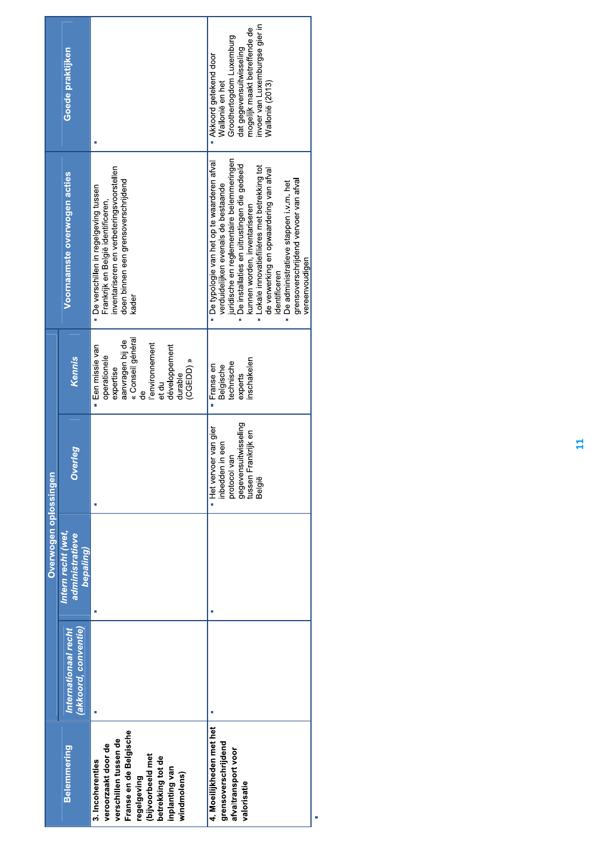|                                                                                                                                                                                      |                      | Overwogen oplossingen        |                                                                                                                  |                                                                                                                                                                  |                                                                                                                                                                                                                                                                                                                                                                                                                                       |                                                                                                                                                                                        |
|--------------------------------------------------------------------------------------------------------------------------------------------------------------------------------------|----------------------|------------------------------|------------------------------------------------------------------------------------------------------------------|------------------------------------------------------------------------------------------------------------------------------------------------------------------|---------------------------------------------------------------------------------------------------------------------------------------------------------------------------------------------------------------------------------------------------------------------------------------------------------------------------------------------------------------------------------------------------------------------------------------|----------------------------------------------------------------------------------------------------------------------------------------------------------------------------------------|
| <b>Belemmering</b>                                                                                                                                                                   | Internationaal recht | Intern recht (wet,           |                                                                                                                  |                                                                                                                                                                  | Voornaamste overwogen acties                                                                                                                                                                                                                                                                                                                                                                                                          | Goede praktijken                                                                                                                                                                       |
|                                                                                                                                                                                      | (akkoord, conventie) | administratieve<br>bepaling) | <b>Overleg</b>                                                                                                   | Kennis                                                                                                                                                           |                                                                                                                                                                                                                                                                                                                                                                                                                                       |                                                                                                                                                                                        |
| Franse en de Belgische<br>verschillen tussen de<br>veroorzaakt door de<br>(bijvoorbeeld met<br>betrekking tot de<br>3. Incoherenties<br>inplanting van<br>windmolens)<br>regelgeving |                      |                              |                                                                                                                  | « Conseil général<br>aanvragen bij de<br>l'environnement<br>développement<br>· Een missie van<br>operationele<br>(CGEDD) »<br>expertise<br>durable<br>et du<br>g | nventariseren en verbeteringsvoorstellen<br>doen binnen een grensoverschrijdend<br>· De verschillen in regelgeving tussen<br>Frankrijk en België identificeren,<br>kader                                                                                                                                                                                                                                                              |                                                                                                                                                                                        |
| 4. Moeilijkheden met het<br>grensoverschrijdend<br>afvaltransport voor<br>valorisatie                                                                                                |                      |                              | gegevensuitwisseling<br>tussen Frankrijk en<br>Het vervoer van gier<br>inbedden in een<br>protocol van<br>België | nschakelen<br>technische<br>Belgische<br>Franse en<br>experts                                                                                                    | juridische en reglementaire belemmeringen<br>· De typologie van het op te waarderen afval<br>· De installaties en uitrustingen die gedeeld<br>- Lokale innovatiefilières met betrekking tot<br>de verwerking en opwaardering van afval<br>grensoverschrijdend vervoer van afval<br>· De administratieve stappen i.v.m. het<br>verduidelijken evenals de bestaande<br>kunnen worden, inventariseren<br>vereenvoudigen<br>identificeren | invoer van Luxemburgse gier in<br>mogelijk maakt betreffende de<br>Groothertogdom Luxemburg<br>dat gegevensuitwisseling<br>Akkoord getekend door<br>Wallonië en het<br>Nallonië (2013) |
|                                                                                                                                                                                      |                      |                              |                                                                                                                  |                                                                                                                                                                  |                                                                                                                                                                                                                                                                                                                                                                                                                                       |                                                                                                                                                                                        |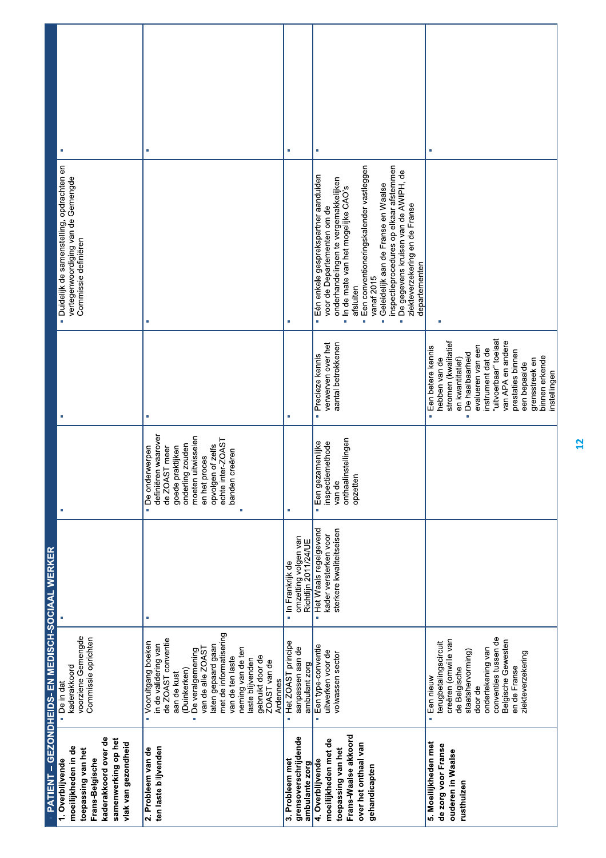|                                                  |                                                                                                                                                        | I.                                                                                                                                                                                                                                                                                                           | t.                                                                | Ì,                                                                                                                                                                                                                                                                                                                                                                                                           |                                                                                                                                                                                                                                                                                               |
|--------------------------------------------------|--------------------------------------------------------------------------------------------------------------------------------------------------------|--------------------------------------------------------------------------------------------------------------------------------------------------------------------------------------------------------------------------------------------------------------------------------------------------------------|-------------------------------------------------------------------|--------------------------------------------------------------------------------------------------------------------------------------------------------------------------------------------------------------------------------------------------------------------------------------------------------------------------------------------------------------------------------------------------------------|-----------------------------------------------------------------------------------------------------------------------------------------------------------------------------------------------------------------------------------------------------------------------------------------------|
|                                                  | Duidelijk de samenstelling, opdrachten en<br>vertegenwoordiging van de Gemengde<br>Commissie definiëren                                                | Ī.                                                                                                                                                                                                                                                                                                           |                                                                   | Een conventioneringskalender vastleggen<br>inspectieprocedures op elkaar afstemmen<br>- De gegevens kruisen van de AWIPH, de<br>Eén enkele gesprekspartner aanduiden<br>onderhandelingen te vergemakkelijken<br>Geleidelijk aan de Franse en Waalse<br>In de mate van het mogelijke CAO's<br>ziekteverzekering en de Franse<br>voor de Departementen om de<br>departementen<br>vanaf 2015<br>afsluiten<br>i. |                                                                                                                                                                                                                                                                                               |
|                                                  |                                                                                                                                                        | à.                                                                                                                                                                                                                                                                                                           | ×                                                                 | aantal betrokkenen<br>verwerven over het<br>· Precieze kennis                                                                                                                                                                                                                                                                                                                                                | "uitvoerbaar" toelaat<br>van APA en andere<br>stromen (kwalitatief<br>evalueren van een<br>Een betere kennis<br>instrument dat de<br>prestaties binnen<br>De haalbaarheid<br>binnen erkende<br>hebben van de<br>en kwantitatief)<br>grensstreek en<br>een bepaalde<br>instellingen<br>i.<br>ä |
|                                                  |                                                                                                                                                        | definiëren waarover<br>moeten uitwisselen<br>opvolgen of zelfs<br>echte inter-ZOAST<br>onderling zouden<br>de ZOAST meer<br>praktijken<br>· De onderwerpen<br>banden creëren<br>proces<br>goede p<br>en het                                                                                                  | È,                                                                | onthaalinstellingen<br>Een gezamenlijke<br>inspectiemethode<br>opzetten<br>van de<br>Ė                                                                                                                                                                                                                                                                                                                       |                                                                                                                                                                                                                                                                                               |
|                                                  |                                                                                                                                                        | ×                                                                                                                                                                                                                                                                                                            | omzetting volgen van<br>Richtlijn 2011/24/UE<br>· In Frankrijk de | Het Waals regelgevend<br>sterkere kwaliteitseisen<br>kader versterken voor<br>à,                                                                                                                                                                                                                                                                                                                             |                                                                                                                                                                                                                                                                                               |
| PATIENT - GEZONDHEIDS- EN MEDISCH-SOCIAAL WERKER | voorziene Gemengde<br>Commissie oprichten<br>kaderakkoord<br>- De in dat                                                                               | met de informatisering<br>de ZOAST conventie<br>• Vooruitgang boeken<br>in de validering van<br>laten gepaard gaan<br>neming van de ten<br>De veralgemening<br>van de alle ZOAS<br>gebruikt door de<br>ZOAST van de<br>van de ten laste<br>laste blijvenden<br>(Duinkerken)<br>aan de kust<br>Ardennes<br>n. | Het ZOAST principe<br>aanpassen aan de<br>ambulant zorg<br>à,     | Een type-conventie<br>uitwerken voor de<br>volwassen sector<br>×,                                                                                                                                                                                                                                                                                                                                            | conventies tussen de<br>creëren (omwille van<br>Belgische Gewesten<br>terugbetalingscircuit<br>ondertekening van<br>de Belgische<br>staatshervorming)<br>ziekteverzekering<br>en de Franse<br>Een nieuw<br>door de<br>à,                                                                      |
|                                                  | kaderakkoord over de<br>samenwerking op het<br>vlak van gezondheid<br>moeilijkheden in de<br>toepassing van het<br>1. Overblijvende<br>Frans-Belgische | ten laste blijvenden<br>2. Probleem van de                                                                                                                                                                                                                                                                   | grensoverschrijdende<br>3. Probleem met<br>ambulante zorg         | Frans-Waalse akkoord<br>moeilijkheden met de<br>over het onthaal van<br>toepassing van het<br>4. Overblijvende<br>gehandicapten                                                                                                                                                                                                                                                                              | 5. Moeilijkheden met<br>de zorg voor Franse<br>ouderen in Waalse<br>rusthuizen                                                                                                                                                                                                                |

 $\frac{1}{2}$